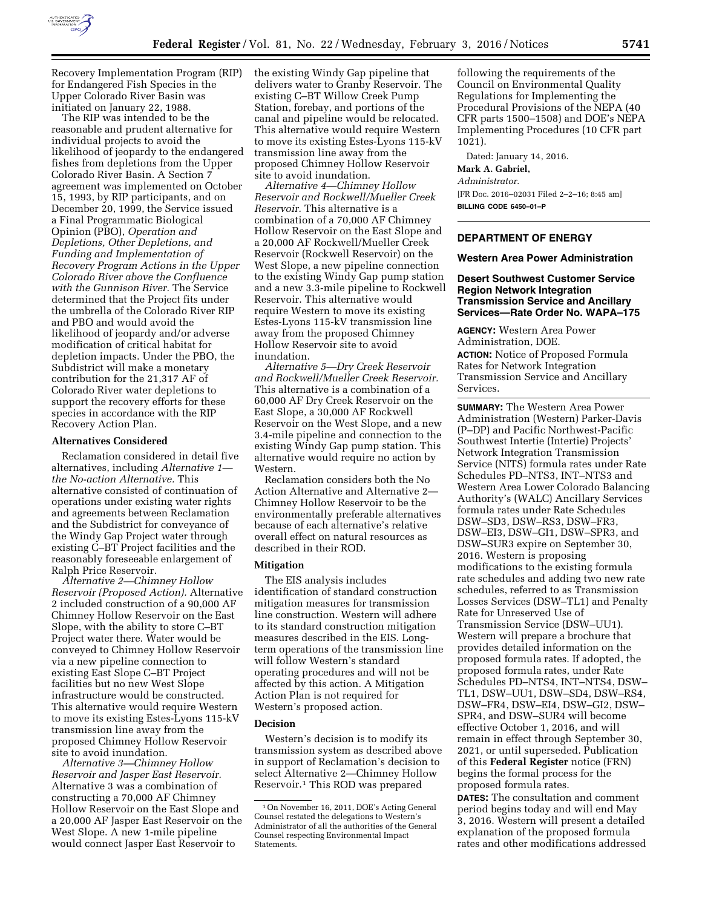

Recovery Implementation Program (RIP) for Endangered Fish Species in the Upper Colorado River Basin was initiated on January 22, 1988.

The RIP was intended to be the reasonable and prudent alternative for individual projects to avoid the likelihood of jeopardy to the endangered fishes from depletions from the Upper Colorado River Basin. A Section 7 agreement was implemented on October 15, 1993, by RIP participants, and on December 20, 1999, the Service issued a Final Programmatic Biological Opinion (PBO), *Operation and Depletions, Other Depletions, and Funding and Implementation of Recovery Program Actions in the Upper Colorado River above the Confluence with the Gunnison River.* The Service determined that the Project fits under the umbrella of the Colorado River RIP and PBO and would avoid the likelihood of jeopardy and/or adverse modification of critical habitat for depletion impacts. Under the PBO, the Subdistrict will make a monetary contribution for the 21,317 AF of Colorado River water depletions to support the recovery efforts for these species in accordance with the RIP Recovery Action Plan.

#### **Alternatives Considered**

Reclamation considered in detail five alternatives, including *Alternative 1 the No-action Alternative.* This alternative consisted of continuation of operations under existing water rights and agreements between Reclamation and the Subdistrict for conveyance of the Windy Gap Project water through existing C–BT Project facilities and the reasonably foreseeable enlargement of Ralph Price Reservoir.

*Alternative 2—Chimney Hollow Reservoir (Proposed Action).* Alternative 2 included construction of a 90,000 AF Chimney Hollow Reservoir on the East Slope, with the ability to store C–BT Project water there. Water would be conveyed to Chimney Hollow Reservoir via a new pipeline connection to existing East Slope C–BT Project facilities but no new West Slope infrastructure would be constructed. This alternative would require Western to move its existing Estes-Lyons 115-kV transmission line away from the proposed Chimney Hollow Reservoir site to avoid inundation.

*Alternative 3—Chimney Hollow Reservoir and Jasper East Reservoir.*  Alternative 3 was a combination of constructing a 70,000 AF Chimney Hollow Reservoir on the East Slope and a 20,000 AF Jasper East Reservoir on the West Slope. A new 1-mile pipeline would connect Jasper East Reservoir to

the existing Windy Gap pipeline that delivers water to Granby Reservoir. The existing C–BT Willow Creek Pump Station, forebay, and portions of the canal and pipeline would be relocated. This alternative would require Western to move its existing Estes-Lyons 115-kV transmission line away from the proposed Chimney Hollow Reservoir site to avoid inundation.

*Alternative 4—Chimney Hollow Reservoir and Rockwell/Mueller Creek Reservoir.* This alternative is a combination of a 70,000 AF Chimney Hollow Reservoir on the East Slope and a 20,000 AF Rockwell/Mueller Creek Reservoir (Rockwell Reservoir) on the West Slope, a new pipeline connection to the existing Windy Gap pump station and a new 3.3-mile pipeline to Rockwell Reservoir. This alternative would require Western to move its existing Estes-Lyons 115-kV transmission line away from the proposed Chimney Hollow Reservoir site to avoid inundation.

*Alternative 5—Dry Creek Reservoir and Rockwell/Mueller Creek Reservoir.*  This alternative is a combination of a 60,000 AF Dry Creek Reservoir on the East Slope, a 30,000 AF Rockwell Reservoir on the West Slope, and a new 3.4-mile pipeline and connection to the existing Windy Gap pump station. This alternative would require no action by Western.

Reclamation considers both the No Action Alternative and Alternative 2— Chimney Hollow Reservoir to be the environmentally preferable alternatives because of each alternative's relative overall effect on natural resources as described in their ROD.

## **Mitigation**

The EIS analysis includes identification of standard construction mitigation measures for transmission line construction. Western will adhere to its standard construction mitigation measures described in the EIS. Longterm operations of the transmission line will follow Western's standard operating procedures and will not be affected by this action. A Mitigation Action Plan is not required for Western's proposed action.

#### **Decision**

Western's decision is to modify its transmission system as described above in support of Reclamation's decision to select Alternative 2—Chimney Hollow Reservoir.1 This ROD was prepared

following the requirements of the Council on Environmental Quality Regulations for Implementing the Procedural Provisions of the NEPA (40 CFR parts 1500–1508) and DOE's NEPA Implementing Procedures (10 CFR part 1021).

Dated: January 14, 2016. **Mark A. Gabriel,**  *Administrator.*  [FR Doc. 2016–02031 Filed 2–2–16; 8:45 am] **BILLING CODE 6450–01–P** 

## **DEPARTMENT OF ENERGY**

### **Western Area Power Administration**

## **Desert Southwest Customer Service Region Network Integration Transmission Service and Ancillary Services—Rate Order No. WAPA–175**

**AGENCY:** Western Area Power Administration, DOE. **ACTION:** Notice of Proposed Formula Rates for Network Integration Transmission Service and Ancillary Services.

**SUMMARY:** The Western Area Power Administration (Western) Parker-Davis (P–DP) and Pacific Northwest-Pacific Southwest Intertie (Intertie) Projects' Network Integration Transmission Service (NITS) formula rates under Rate Schedules PD–NTS3, INT–NTS3 and Western Area Lower Colorado Balancing Authority's (WALC) Ancillary Services formula rates under Rate Schedules DSW–SD3, DSW–RS3, DSW–FR3, DSW–EI3, DSW–GI1, DSW–SPR3, and DSW–SUR3 expire on September 30, 2016. Western is proposing modifications to the existing formula rate schedules and adding two new rate schedules, referred to as Transmission Losses Services (DSW–TL1) and Penalty Rate for Unreserved Use of Transmission Service (DSW–UU1). Western will prepare a brochure that provides detailed information on the proposed formula rates. If adopted, the proposed formula rates, under Rate Schedules PD–NTS4, INT–NTS4, DSW– TL1, DSW–UU1, DSW–SD4, DSW–RS4, DSW–FR4, DSW–EI4, DSW–GI2, DSW– SPR4, and DSW–SUR4 will become effective October 1, 2016, and will remain in effect through September 30, 2021, or until superseded. Publication of this **Federal Register** notice (FRN) begins the formal process for the proposed formula rates.

**DATES:** The consultation and comment period begins today and will end May 3, 2016. Western will present a detailed explanation of the proposed formula rates and other modifications addressed

<sup>1</sup>On November 16, 2011, DOE's Acting General Counsel restated the delegations to Western's Administrator of all the authorities of the General Counsel respecting Environmental Impact Statements.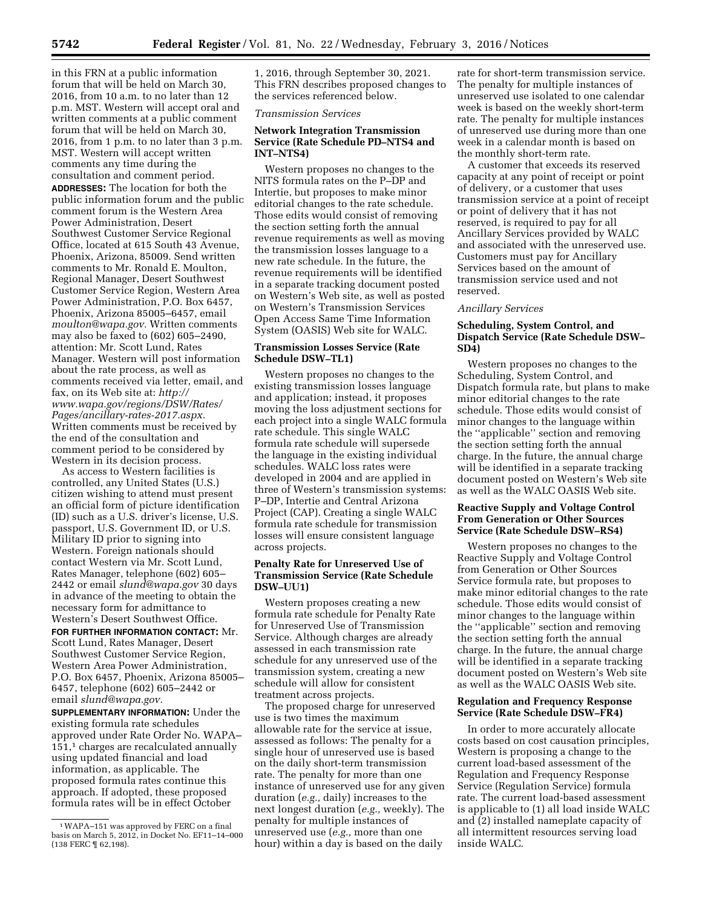in this FRN at a public information forum that will be held on March 30, 2016, from 10 a.m. to no later than 12 p.m. MST. Western will accept oral and written comments at a public comment forum that will be held on March 30, 2016, from 1 p.m. to no later than 3 p.m. MST. Western will accept written comments any time during the consultation and comment period. **ADDRESSES:** The location for both the public information forum and the public comment forum is the Western Area Power Administration, Desert Southwest Customer Service Regional Office, located at 615 South 43 Avenue, Phoenix, Arizona, 85009. Send written comments to Mr. Ronald E. Moulton, Regional Manager, Desert Southwest Customer Service Region, Western Area Power Administration, P.O. Box 6457, Phoenix, Arizona 85005–6457, email *[moulton@wapa.gov.](mailto:moulton@wapa.gov)* Written comments may also be faxed to (602) 605–2490, attention: Mr. Scott Lund, Rates Manager. Western will post information about the rate process, as well as comments received via letter, email, and fax, on its Web site at: *[http://](http://www.wapa.gov/regions/DSW/Rates/Pages/ancillary-rates-2017.aspx) [www.wapa.gov/regions/DSW/Rates/](http://www.wapa.gov/regions/DSW/Rates/Pages/ancillary-rates-2017.aspx) [Pages/ancillary-rates-2017.aspx.](http://www.wapa.gov/regions/DSW/Rates/Pages/ancillary-rates-2017.aspx)*  Written comments must be received by the end of the consultation and comment period to be considered by Western in its decision process.

As access to Western facilities is controlled, any United States (U.S.) citizen wishing to attend must present an official form of picture identification (ID) such as a U.S. driver's license, U.S. passport, U.S. Government ID, or U.S. Military ID prior to signing into Western. Foreign nationals should contact Western via Mr. Scott Lund, Rates Manager, telephone (602) 605– 2442 or email *[slund@wapa.gov](mailto:slund@wapa.gov)* 30 days in advance of the meeting to obtain the necessary form for admittance to Western's Desert Southwest Office.

**FOR FURTHER INFORMATION CONTACT:** Mr. Scott Lund, Rates Manager, Desert Southwest Customer Service Region, Western Area Power Administration, P.O. Box 6457, Phoenix, Arizona 85005– 6457, telephone (602) 605–2442 or email *[slund@wapa.gov.](mailto:slund@wapa.gov)* 

**SUPPLEMENTARY INFORMATION:** Under the existing formula rate schedules approved under Rate Order No. WAPA– 151,1 charges are recalculated annually using updated financial and load information, as applicable. The proposed formula rates continue this approach. If adopted, these proposed formula rates will be in effect October

1, 2016, through September 30, 2021. This FRN describes proposed changes to the services referenced below.

#### *Transmission Services*

# **Network Integration Transmission Service (Rate Schedule PD–NTS4 and INT–NTS4)**

Western proposes no changes to the NITS formula rates on the P–DP and Intertie, but proposes to make minor editorial changes to the rate schedule. Those edits would consist of removing the section setting forth the annual revenue requirements as well as moving the transmission losses language to a new rate schedule. In the future, the revenue requirements will be identified in a separate tracking document posted on Western's Web site, as well as posted on Western's Transmission Services Open Access Same Time Information System (OASIS) Web site for WALC.

### **Transmission Losses Service (Rate Schedule DSW–TL1)**

Western proposes no changes to the existing transmission losses language and application; instead, it proposes moving the loss adjustment sections for each project into a single WALC formula rate schedule. This single WALC formula rate schedule will supersede the language in the existing individual schedules. WALC loss rates were developed in 2004 and are applied in three of Western's transmission systems: P–DP, Intertie and Central Arizona Project (CAP). Creating a single WALC formula rate schedule for transmission losses will ensure consistent language across projects.

## **Penalty Rate for Unreserved Use of Transmission Service (Rate Schedule DSW–UU1)**

Western proposes creating a new formula rate schedule for Penalty Rate for Unreserved Use of Transmission Service. Although charges are already assessed in each transmission rate schedule for any unreserved use of the transmission system, creating a new schedule will allow for consistent treatment across projects.

The proposed charge for unreserved use is two times the maximum allowable rate for the service at issue, assessed as follows: The penalty for a single hour of unreserved use is based on the daily short-term transmission rate. The penalty for more than one instance of unreserved use for any given duration (*e.g.,* daily) increases to the next longest duration (*e.g.,* weekly). The penalty for multiple instances of unreserved use (*e.g.,* more than one hour) within a day is based on the daily

rate for short-term transmission service. The penalty for multiple instances of unreserved use isolated to one calendar week is based on the weekly short-term rate. The penalty for multiple instances of unreserved use during more than one week in a calendar month is based on the monthly short-term rate.

A customer that exceeds its reserved capacity at any point of receipt or point of delivery, or a customer that uses transmission service at a point of receipt or point of delivery that it has not reserved, is required to pay for all Ancillary Services provided by WALC and associated with the unreserved use. Customers must pay for Ancillary Services based on the amount of transmission service used and not reserved.

# *Ancillary Services*

## **Scheduling, System Control, and Dispatch Service (Rate Schedule DSW– SD4)**

Western proposes no changes to the Scheduling, System Control, and Dispatch formula rate, but plans to make minor editorial changes to the rate schedule. Those edits would consist of minor changes to the language within the ''applicable'' section and removing the section setting forth the annual charge. In the future, the annual charge will be identified in a separate tracking document posted on Western's Web site as well as the WALC OASIS Web site.

### **Reactive Supply and Voltage Control From Generation or Other Sources Service (Rate Schedule DSW–RS4)**

Western proposes no changes to the Reactive Supply and Voltage Control from Generation or Other Sources Service formula rate, but proposes to make minor editorial changes to the rate schedule. Those edits would consist of minor changes to the language within the ''applicable'' section and removing the section setting forth the annual charge. In the future, the annual charge will be identified in a separate tracking document posted on Western's Web site as well as the WALC OASIS Web site.

### **Regulation and Frequency Response Service (Rate Schedule DSW–FR4)**

In order to more accurately allocate costs based on cost causation principles, Western is proposing a change to the current load-based assessment of the Regulation and Frequency Response Service (Regulation Service) formula rate. The current load-based assessment is applicable to (1) all load inside WALC and (2) installed nameplate capacity of all intermittent resources serving load inside WALC.

<sup>1</sup>WAPA–151 was approved by FERC on a final basis on March 5, 2012, in Docket No. EF11–14–000 (138 FERC ¶ 62,198).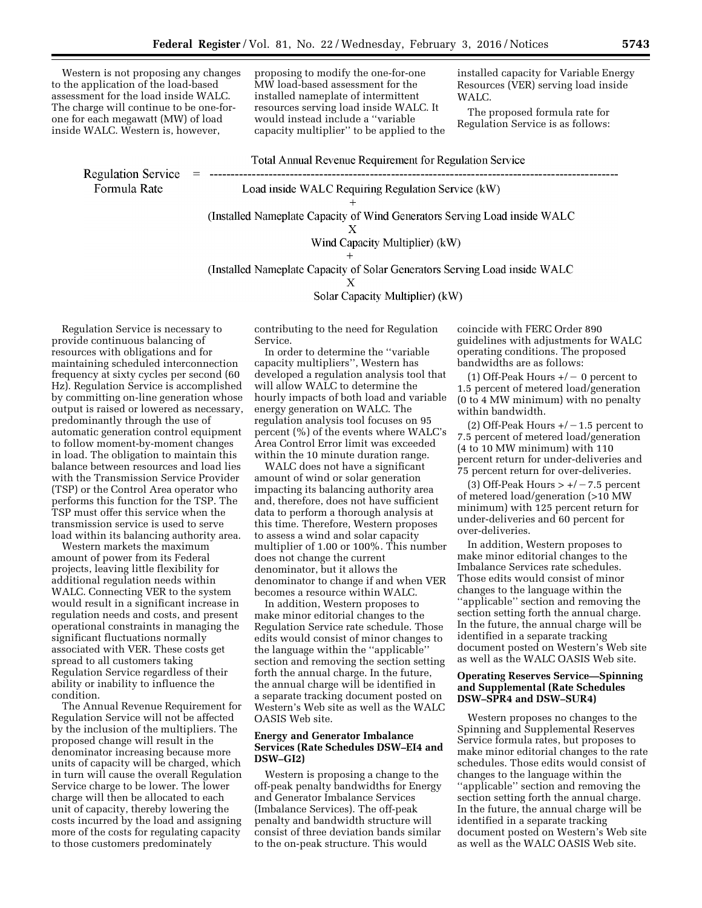Western is not proposing any changes to the application of the load-based assessment for the load inside WALC. The charge will continue to be one-forone for each megawatt (MW) of load inside WALC. Western is, however,

proposing to modify the one-for-one MW load-based assessment for the installed nameplate of intermittent resources serving load inside WALC. It would instead include a ''variable capacity multiplier'' to be applied to the installed capacity for Variable Energy Resources (VER) serving load inside WALC.

The proposed formula rate for Regulation Service is as follows:

**Regulation Service**  $\hspace*{0.4em} = \hspace*{0.4em}$ Formula Rate

Load inside WALC Requiring Regulation Service (kW)

(Installed Nameplate Capacity of Wind Generators Serving Load inside WALC)

**Total Annual Revenue Requirement for Regulation Service** 

$$
\mathbf{X} =
$$

Wind Capacity Multiplier) (kW)

(Installed Nameplate Capacity of Solar Generators Serving Load inside WALC)

$$
\mathbf{X} =
$$

Solar Capacity Multiplier) (kW)

Regulation Service is necessary to provide continuous balancing of resources with obligations and for maintaining scheduled interconnection frequency at sixty cycles per second (60 Hz). Regulation Service is accomplished by committing on-line generation whose output is raised or lowered as necessary, predominantly through the use of automatic generation control equipment to follow moment-by-moment changes in load. The obligation to maintain this balance between resources and load lies with the Transmission Service Provider (TSP) or the Control Area operator who performs this function for the TSP. The TSP must offer this service when the transmission service is used to serve load within its balancing authority area.

Western markets the maximum amount of power from its Federal projects, leaving little flexibility for additional regulation needs within WALC. Connecting VER to the system would result in a significant increase in regulation needs and costs, and present operational constraints in managing the significant fluctuations normally associated with VER. These costs get spread to all customers taking Regulation Service regardless of their ability or inability to influence the condition.

The Annual Revenue Requirement for Regulation Service will not be affected by the inclusion of the multipliers. The proposed change will result in the denominator increasing because more units of capacity will be charged, which in turn will cause the overall Regulation Service charge to be lower. The lower charge will then be allocated to each unit of capacity, thereby lowering the costs incurred by the load and assigning more of the costs for regulating capacity to those customers predominately

contributing to the need for Regulation Service.

In order to determine the ''variable capacity multipliers'', Western has developed a regulation analysis tool that will allow WALC to determine the hourly impacts of both load and variable energy generation on WALC. The regulation analysis tool focuses on 95 percent (%) of the events where WALC's Area Control Error limit was exceeded within the 10 minute duration range.

WALC does not have a significant amount of wind or solar generation impacting its balancing authority area and, therefore, does not have sufficient data to perform a thorough analysis at this time. Therefore, Western proposes to assess a wind and solar capacity multiplier of 1.00 or 100%. This number does not change the current denominator, but it allows the denominator to change if and when VER becomes a resource within WALC.

In addition, Western proposes to make minor editorial changes to the Regulation Service rate schedule. Those edits would consist of minor changes to the language within the ''applicable'' section and removing the section setting forth the annual charge. In the future, the annual charge will be identified in a separate tracking document posted on Western's Web site as well as the WALC OASIS Web site.

# **Energy and Generator Imbalance Services (Rate Schedules DSW–EI4 and DSW–GI2)**

Western is proposing a change to the off-peak penalty bandwidths for Energy and Generator Imbalance Services (Imbalance Services). The off-peak penalty and bandwidth structure will consist of three deviation bands similar to the on-peak structure. This would

coincide with FERC Order 890 guidelines with adjustments for WALC operating conditions. The proposed bandwidths are as follows:

(1) Off-Peak Hours  $+/- 0$  percent to 1.5 percent of metered load/generation (0 to 4 MW minimum) with no penalty within bandwidth.

(2) Off-Peak Hours  $+/-1.5$  percent to 7.5 percent of metered load/generation (4 to 10 MW minimum) with 110 percent return for under-deliveries and 75 percent return for over-deliveries.

(3) Off-Peak Hours  $> +/-7.5$  percent of metered load/generation (>10 MW minimum) with 125 percent return for under-deliveries and 60 percent for over-deliveries.

In addition, Western proposes to make minor editorial changes to the Imbalance Services rate schedules. Those edits would consist of minor changes to the language within the ''applicable'' section and removing the section setting forth the annual charge. In the future, the annual charge will be identified in a separate tracking document posted on Western's Web site as well as the WALC OASIS Web site.

### **Operating Reserves Service—Spinning and Supplemental (Rate Schedules DSW–SPR4 and DSW–SUR4)**

Western proposes no changes to the Spinning and Supplemental Reserves Service formula rates, but proposes to make minor editorial changes to the rate schedules. Those edits would consist of changes to the language within the ''applicable'' section and removing the section setting forth the annual charge. In the future, the annual charge will be identified in a separate tracking document posted on Western's Web site as well as the WALC OASIS Web site.